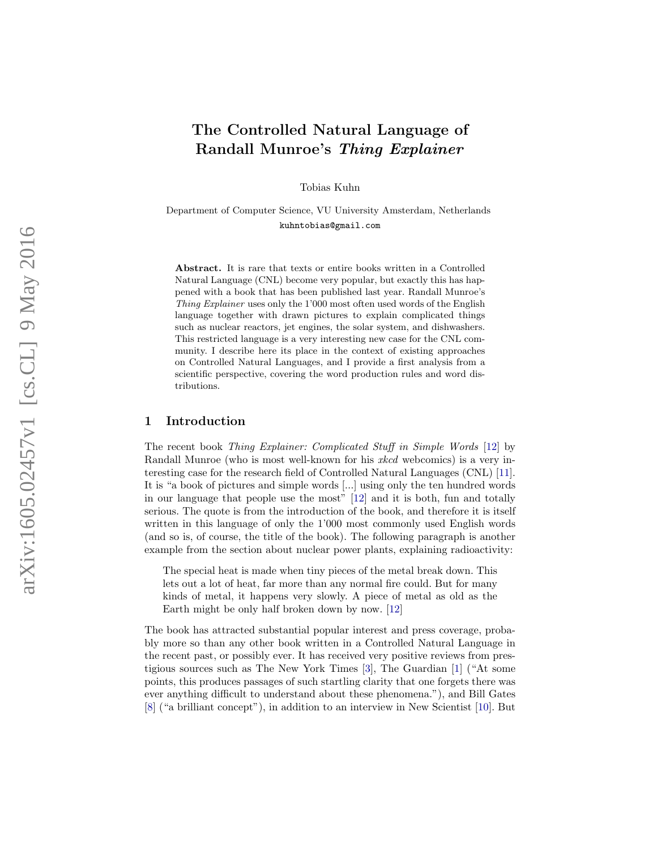# The Controlled Natural Language of Randall Munroe's Thing Explainer

Tobias Kuhn

Department of Computer Science, VU University Amsterdam, Netherlands kuhntobias@gmail.com

Abstract. It is rare that texts or entire books written in a Controlled Natural Language (CNL) become very popular, but exactly this has happened with a book that has been published last year. Randall Munroe's Thing Explainer uses only the 1'000 most often used words of the English language together with drawn pictures to explain complicated things such as nuclear reactors, jet engines, the solar system, and dishwashers. This restricted language is a very interesting new case for the CNL community. I describe here its place in the context of existing approaches on Controlled Natural Languages, and I provide a first analysis from a scientific perspective, covering the word production rules and word distributions.

## 1 Introduction

The recent book Thing Explainer: Complicated Stuff in Simple Words [\[12\]](#page-8-0) by Randall Munroe (who is most well-known for his xkcd webcomics) is a very interesting case for the research field of Controlled Natural Languages (CNL) [\[11\]](#page-8-1). It is "a book of pictures and simple words [...] using only the ten hundred words in our language that people use the most" [\[12\]](#page-8-0) and it is both, fun and totally serious. The quote is from the introduction of the book, and therefore it is itself written in this language of only the 1'000 most commonly used English words (and so is, of course, the title of the book). The following paragraph is another example from the section about nuclear power plants, explaining radioactivity:

The special heat is made when tiny pieces of the metal break down. This lets out a lot of heat, far more than any normal fire could. But for many kinds of metal, it happens very slowly. A piece of metal as old as the Earth might be only half broken down by now. [\[12](#page-8-0) ]

The book has attracted substantial popular interest and press coverage, probably more so than any other book written in a Controlled Natural Language in the recent past, or possibly ever. It has received very positive reviews from prestigious sources such as The New York Times [\[3\]](#page-8-2), The Guardian [\[1\]](#page-8-3) ("At some points, this produces passages of such startling clarity that one forgets there was ever anything difficult to understand about these phenomena."), and Bill Gates [\[8\]](#page-8-4) ("a brilliant concept"), in addition to an interview in New Scientist [\[10\]](#page-8-5). But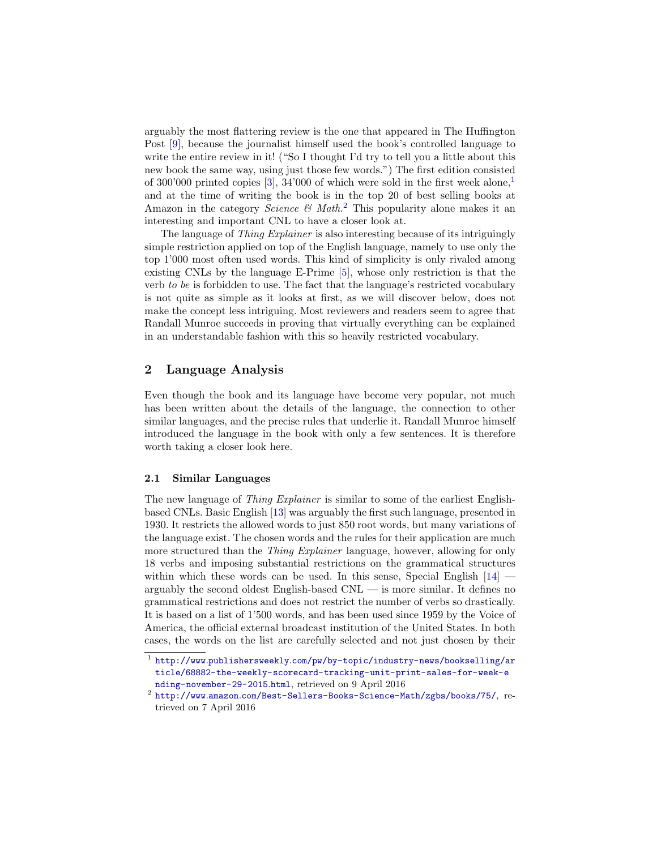arguably the most flattering review is the one that appeared in The Huffington Post [\[9\]](#page-8-6), because the journalist himself used the book's controlled language to write the entire review in it! ("So I thought I'd try to tell you a little about this new book the same way, using just those few words.") The first edition consisted of  $300'000$  printed copies [\[3\]](#page-8-2),  $34'000$  of which were sold in the first week alone,<sup>[1](#page-1-0)</sup> and at the time of writing the book is in the top 20 of best selling books at Amazon in the category *Science*  $\mathcal{C}$  Math.<sup>[2](#page-1-1)</sup> This popularity alone makes it an interesting and important CNL to have a closer look at.

The language of *Thing Explainer* is also interesting because of its intriguingly simple restriction applied on top of the English language, namely to use only the top 1'000 most often used words. This kind of simplicity is only rivaled among existing CNLs by the language E-Prime [\[5\]](#page-8-7), whose only restriction is that the verb to be is forbidden to use. The fact that the language's restricted vocabulary is not quite as simple as it looks at first, as we will discover below, does not make the concept less intriguing. Most reviewers and readers seem to agree that Randall Munroe succeeds in proving that virtually everything can be explained in an understandable fashion with this so heavily restricted vocabulary.

# 2 Language Analysis

Even though the book and its language have become very popular, not much has been written about the details of the language, the connection to other similar languages, and the precise rules that underlie it. Randall Munroe himself introduced the language in the book with only a few sentences. It is therefore worth taking a closer look here.

## 2.1 Similar Languages

The new language of *Thing Explainer* is similar to some of the earliest Englishbased CNLs. Basic English [\[13\]](#page-8-8) was arguably the first such language, presented in 1930. It restricts the allowed words to just 850 root words, but many variations of the language exist. The chosen words and the rules for their application are much more structured than the Thing Explainer language, however, allowing for only 18 verbs and imposing substantial restrictions on the grammatical structures within which these words can be used. In this sense, Special English  $[14]$ arguably the second oldest English-based CNL — is more similar. It defines no grammatical restrictions and does not restrict the number of verbs so drastically. It is based on a list of 1'500 words, and has been used since 1959 by the Voice of America, the official external broadcast institution of the United States. In both cases, the words on the list are carefully selected and not just chosen by their

<span id="page-1-0"></span><sup>1</sup> http://www.publishersweekly.[com/pw/by-topic/industry-news/bookselling/ar](http://www.publishersweekly.com/pw/by-topic/industry-news/bookselling/article/68882-the-weekly-scorecard-tracking-unit-print-sales-for-week-ending-november-29-2015.html) [ticle/68882-the-weekly-scorecard-tracking-unit-print-sales-for-week-e](http://www.publishersweekly.com/pw/by-topic/industry-news/bookselling/article/68882-the-weekly-scorecard-tracking-unit-print-sales-for-week-ending-november-29-2015.html) [nding-november-29-2015](http://www.publishersweekly.com/pw/by-topic/industry-news/bookselling/article/68882-the-weekly-scorecard-tracking-unit-print-sales-for-week-ending-november-29-2015.html).html, retrieved on 9 April 2016

<span id="page-1-1"></span> $^2$  http://www.amazon.[com/Best-Sellers-Books-Science-Math/zgbs/books/75/](http://www.amazon.com/Best-Sellers-Books-Science-Math/zgbs/books/75/), retrieved on 7 April 2016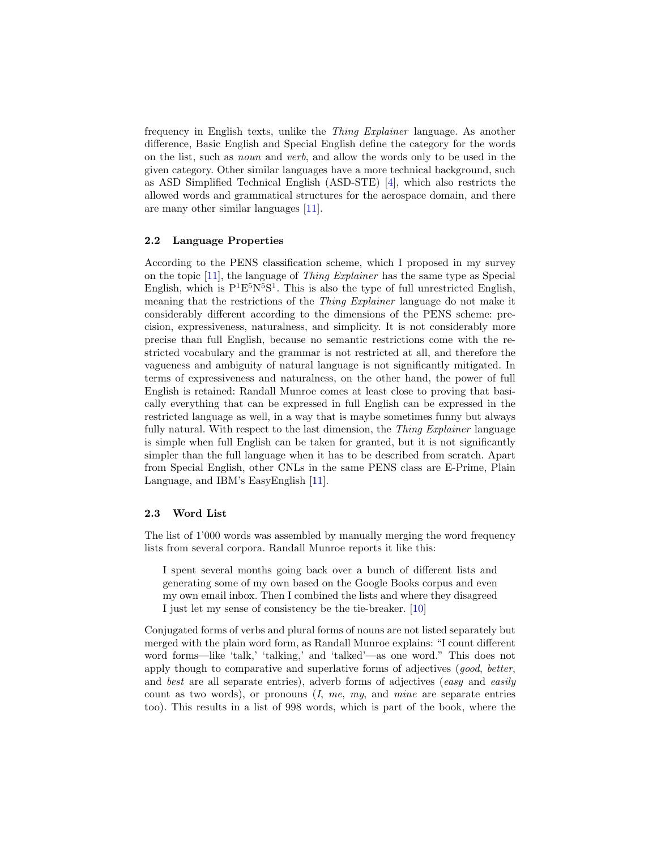frequency in English texts, unlike the Thing Explainer language. As another difference, Basic English and Special English define the category for the words on the list, such as noun and verb, and allow the words only to be used in the given category. Other similar languages have a more technical background, such as ASD Simplified Technical English (ASD-STE) [\[4\]](#page-8-10), which also restricts the allowed words and grammatical structures for the aerospace domain, and there are many other similar languages [\[11\]](#page-8-1).

## 2.2 Language Properties

According to the PENS classification scheme, which I proposed in my survey on the topic [\[11\]](#page-8-1), the language of Thing Explainer has the same type as Special English, which is  $P^1E^5N^5S^1$ . This is also the type of full unrestricted English, meaning that the restrictions of the Thing Explainer language do not make it considerably different according to the dimensions of the PENS scheme: precision, expressiveness, naturalness, and simplicity. It is not considerably more precise than full English, because no semantic restrictions come with the restricted vocabulary and the grammar is not restricted at all, and therefore the vagueness and ambiguity of natural language is not significantly mitigated. In terms of expressiveness and naturalness, on the other hand, the power of full English is retained: Randall Munroe comes at least close to proving that basically everything that can be expressed in full English can be expressed in the restricted language as well, in a way that is maybe sometimes funny but always fully natural. With respect to the last dimension, the *Thing Explainer* language is simple when full English can be taken for granted, but it is not significantly simpler than the full language when it has to be described from scratch. Apart from Special English, other CNLs in the same PENS class are E-Prime, Plain Language, and IBM's EasyEnglish [\[11\]](#page-8-1).

## 2.3 Word List

The list of 1'000 words was assembled by manually merging the word frequency lists from several corpora. Randall Munroe reports it like this:

I spent several months going back over a bunch of different lists and generating some of my own based on the Google Books corpus and even my own email inbox. Then I combined the lists and where they disagreed I just let my sense of consistency be the tie-breaker. [\[10\]](#page-8-5)

Conjugated forms of verbs and plural forms of nouns are not listed separately but merged with the plain word form, as Randall Munroe explains: "I count different word forms—like 'talk,' 'talking,' and 'talked'—as one word." This does not apply though to comparative and superlative forms of adjectives (good, better, and best are all separate entries), adverb forms of adjectives (easy and easily count as two words), or pronouns  $(I, me, my, and mine are separate entries$ too). This results in a list of 998 words, which is part of the book, where the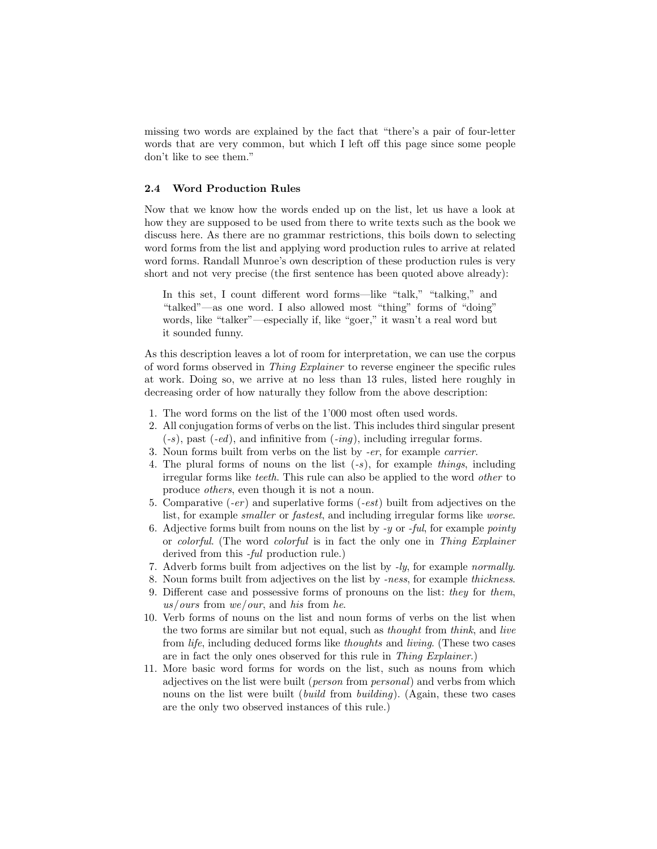missing two words are explained by the fact that "there's a pair of four-letter words that are very common, but which I left off this page since some people don't like to see them."

## 2.4 Word Production Rules

Now that we know how the words ended up on the list, let us have a look at how they are supposed to be used from there to write texts such as the book we discuss here. As there are no grammar restrictions, this boils down to selecting word forms from the list and applying word production rules to arrive at related word forms. Randall Munroe's own description of these production rules is very short and not very precise (the first sentence has been quoted above already):

In this set, I count different word forms—like "talk," "talking," and "talked"—as one word. I also allowed most "thing" forms of "doing" words, like "talker"—especially if, like "goer," it wasn't a real word but it sounded funny.

As this description leaves a lot of room for interpretation, we can use the corpus of word forms observed in Thing Explainer to reverse engineer the specific rules at work. Doing so, we arrive at no less than 13 rules, listed here roughly in decreasing order of how naturally they follow from the above description:

- <span id="page-3-0"></span>1. The word forms on the list of the 1'000 most often used words.
- <span id="page-3-1"></span>2. All conjugation forms of verbs on the list. This includes third singular present  $(-s)$ , past  $(-ed)$ , and infinitive from  $(-inq)$ , including irregular forms.
- <span id="page-3-3"></span>3. Noun forms built from verbs on the list by -er, for example carrier.
- <span id="page-3-2"></span>4. The plural forms of nouns on the list  $(-s)$ , for example things, including irregular forms like teeth. This rule can also be applied to the word other to produce others, even though it is not a noun.
- <span id="page-3-4"></span>5. Comparative  $(-er)$  and superlative forms  $(-est)$  built from adjectives on the list, for example smaller or fastest, and including irregular forms like worse.
- <span id="page-3-5"></span>6. Adjective forms built from nouns on the list by  $-y$  or  $-ful$ , for example *pointy* or colorful. (The word colorful is in fact the only one in Thing Explainer derived from this *-ful* production rule.)
- <span id="page-3-8"></span>7. Adverb forms built from adjectives on the list by -ly, for example normally.
- <span id="page-3-10"></span>8. Noun forms built from adjectives on the list by -ness, for example thickness.
- <span id="page-3-7"></span>9. Different case and possessive forms of pronouns on the list: they for them, us/ours from we/our, and his from he.
- <span id="page-3-9"></span>10. Verb forms of nouns on the list and noun forms of verbs on the list when the two forms are similar but not equal, such as thought from think, and live from life, including deduced forms like thoughts and living. (These two cases are in fact the only ones observed for this rule in Thing Explainer.)
- <span id="page-3-6"></span>11. More basic word forms for words on the list, such as nouns from which adjectives on the list were built (person from personal) and verbs from which nouns on the list were built *(build from building)*. (Again, these two cases are the only two observed instances of this rule.)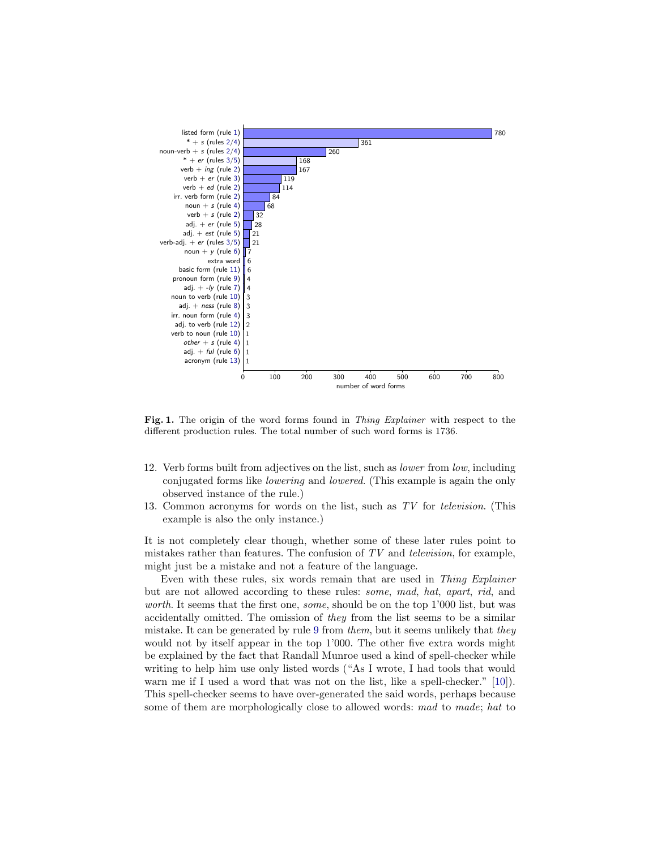

<span id="page-4-2"></span>Fig. 1. The origin of the word forms found in Thing Explainer with respect to the different production rules. The total number of such word forms is 1736.

- <span id="page-4-0"></span>12. Verb forms built from adjectives on the list, such as lower from low, including conjugated forms like lowering and lowered. (This example is again the only observed instance of the rule.)
- <span id="page-4-1"></span>13. Common acronyms for words on the list, such as TV for television. (This example is also the only instance.)

It is not completely clear though, whether some of these later rules point to mistakes rather than features. The confusion of  $TV$  and *television*, for example, might just be a mistake and not a feature of the language.

Even with these rules, six words remain that are used in Thing Explainer but are not allowed according to these rules: some, mad, hat, apart, rid, and worth. It seems that the first one, *some*, should be on the top 1'000 list, but was accidentally omitted. The omission of they from the list seems to be a similar mistake. It can be generated by rule [9](#page-3-7) from them, but it seems unlikely that they would not by itself appear in the top 1'000. The other five extra words might be explained by the fact that Randall Munroe used a kind of spell-checker while writing to help him use only listed words ("As I wrote, I had tools that would warn me if I used a word that was not on the list, like a spell-checker." [\[10\]](#page-8-5)). This spell-checker seems to have over-generated the said words, perhaps because some of them are morphologically close to allowed words: mad to made; hat to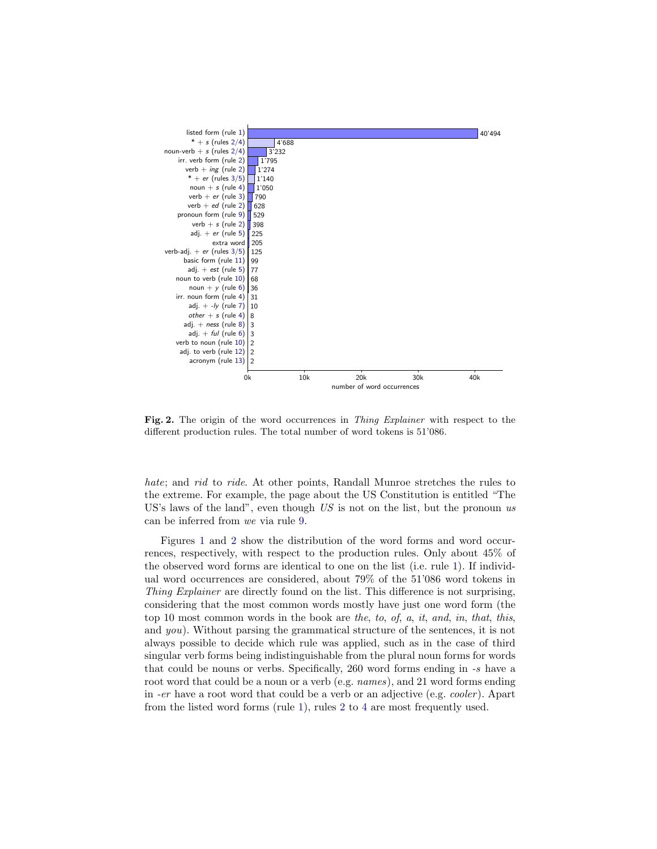

<span id="page-5-0"></span>Fig. 2. The origin of the word occurrences in Thing Explainer with respect to the different production rules. The total number of word tokens is 51'086.

hate; and rid to ride. At other points, Randall Munroe stretches the rules to the extreme. For example, the page about the US Constitution is entitled "The US's laws of the land", even though  $US$  is not on the list, but the pronoun us can be inferred from we via rule [9.](#page-3-7)

Figures [1](#page-4-2) and [2](#page-5-0) show the distribution of the word forms and word occurrences, respectively, with respect to the production rules. Only about 45% of the observed word forms are identical to one on the list (i.e. rule [1\)](#page-3-0). If individual word occurrences are considered, about 79% of the 51'086 word tokens in Thing Explainer are directly found on the list. This difference is not surprising, considering that the most common words mostly have just one word form (the top 10 most common words in the book are the, to, of, a, it, and, in, that, this, and you). Without parsing the grammatical structure of the sentences, it is not always possible to decide which rule was applied, such as in the case of third singular verb forms being indistinguishable from the plural noun forms for words that could be nouns or verbs. Specifically, 260 word forms ending in -s have a root word that could be a noun or a verb (e.g. *names*), and 21 word forms ending in -er have a root word that could be a verb or an adjective (e.g. cooler ). Apart from the listed word forms (rule [1\)](#page-3-0), rules [2](#page-3-1) to [4](#page-3-2) are most frequently used.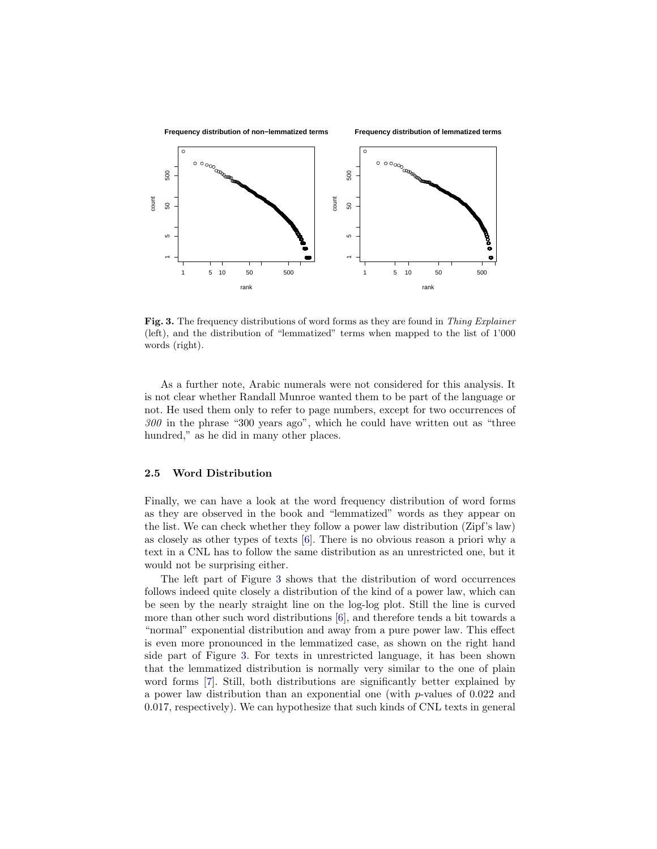

<span id="page-6-0"></span>Fig. 3. The frequency distributions of word forms as they are found in Thing Explainer (left), and the distribution of "lemmatized" terms when mapped to the list of 1'000 words (right).

As a further note, Arabic numerals were not considered for this analysis. It is not clear whether Randall Munroe wanted them to be part of the language or not. He used them only to refer to page numbers, except for two occurrences of 300 in the phrase "300 years ago", which he could have written out as "three hundred," as he did in many other places.

### 2.5 Word Distribution

Finally, we can have a look at the word frequency distribution of word forms as they are observed in the book and "lemmatized" words as they appear on the list. We can check whether they follow a power law distribution (Zipf's law) as closely as other types of texts [\[6\]](#page-8-11). There is no obvious reason a priori why a text in a CNL has to follow the same distribution as an unrestricted one, but it would not be surprising either.

The left part of Figure [3](#page-6-0) shows that the distribution of word occurrences follows indeed quite closely a distribution of the kind of a power law, which can be seen by the nearly straight line on the log-log plot. Still the line is curved more than other such word distributions [\[6\]](#page-8-11), and therefore tends a bit towards a "normal" exponential distribution and away from a pure power law. This effect is even more pronounced in the lemmatized case, as shown on the right hand side part of Figure [3.](#page-6-0) For texts in unrestricted language, it has been shown that the lemmatized distribution is normally very similar to the one of plain word forms [\[7\]](#page-8-12). Still, both distributions are significantly better explained by a power law distribution than an exponential one (with p-values of 0.022 and 0.017, respectively). We can hypothesize that such kinds of CNL texts in general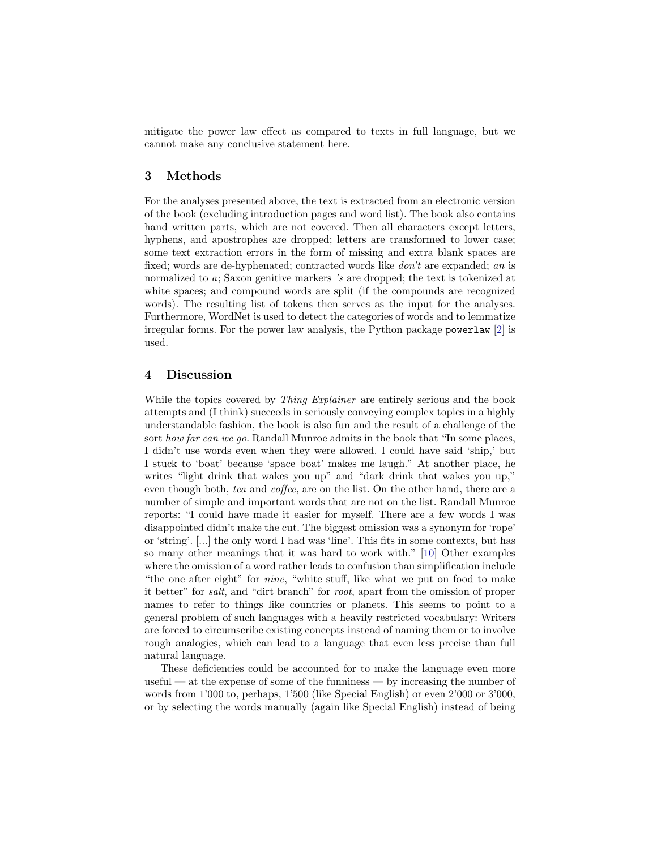mitigate the power law effect as compared to texts in full language, but we cannot make any conclusive statement here.

# 3 Methods

For the analyses presented above, the text is extracted from an electronic version of the book (excluding introduction pages and word list). The book also contains hand written parts, which are not covered. Then all characters except letters, hyphens, and apostrophes are dropped; letters are transformed to lower case; some text extraction errors in the form of missing and extra blank spaces are fixed; words are de-hyphenated; contracted words like don't are expanded; an is normalized to a; Saxon genitive markers 's are dropped; the text is tokenized at white spaces; and compound words are split (if the compounds are recognized words). The resulting list of tokens then serves as the input for the analyses. Furthermore, WordNet is used to detect the categories of words and to lemmatize irregular forms. For the power law analysis, the Python package powerlaw [\[2\]](#page-8-13) is used.

# 4 Discussion

While the topics covered by *Thing Explainer* are entirely serious and the book attempts and (I think) succeeds in seriously conveying complex topics in a highly understandable fashion, the book is also fun and the result of a challenge of the sort how far can we go. Randall Munroe admits in the book that "In some places, I didn't use words even when they were allowed. I could have said 'ship,' but I stuck to 'boat' because 'space boat' makes me laugh." At another place, he writes "light drink that wakes you up" and "dark drink that wakes you up," even though both, tea and coffee, are on the list. On the other hand, there are a number of simple and important words that are not on the list. Randall Munroe reports: "I could have made it easier for myself. There are a few words I was disappointed didn't make the cut. The biggest omission was a synonym for 'rope' or 'string'. [...] the only word I had was 'line'. This fits in some contexts, but has so many other meanings that it was hard to work with." [\[10\]](#page-8-5) Other examples where the omission of a word rather leads to confusion than simplification include "the one after eight" for nine, "white stuff, like what we put on food to make it better" for salt, and "dirt branch" for root, apart from the omission of proper names to refer to things like countries or planets. This seems to point to a general problem of such languages with a heavily restricted vocabulary: Writers are forced to circumscribe existing concepts instead of naming them or to involve rough analogies, which can lead to a language that even less precise than full natural language.

These deficiencies could be accounted for to make the language even more useful — at the expense of some of the funniness — by increasing the number of words from 1'000 to, perhaps, 1'500 (like Special English) or even 2'000 or 3'000, or by selecting the words manually (again like Special English) instead of being